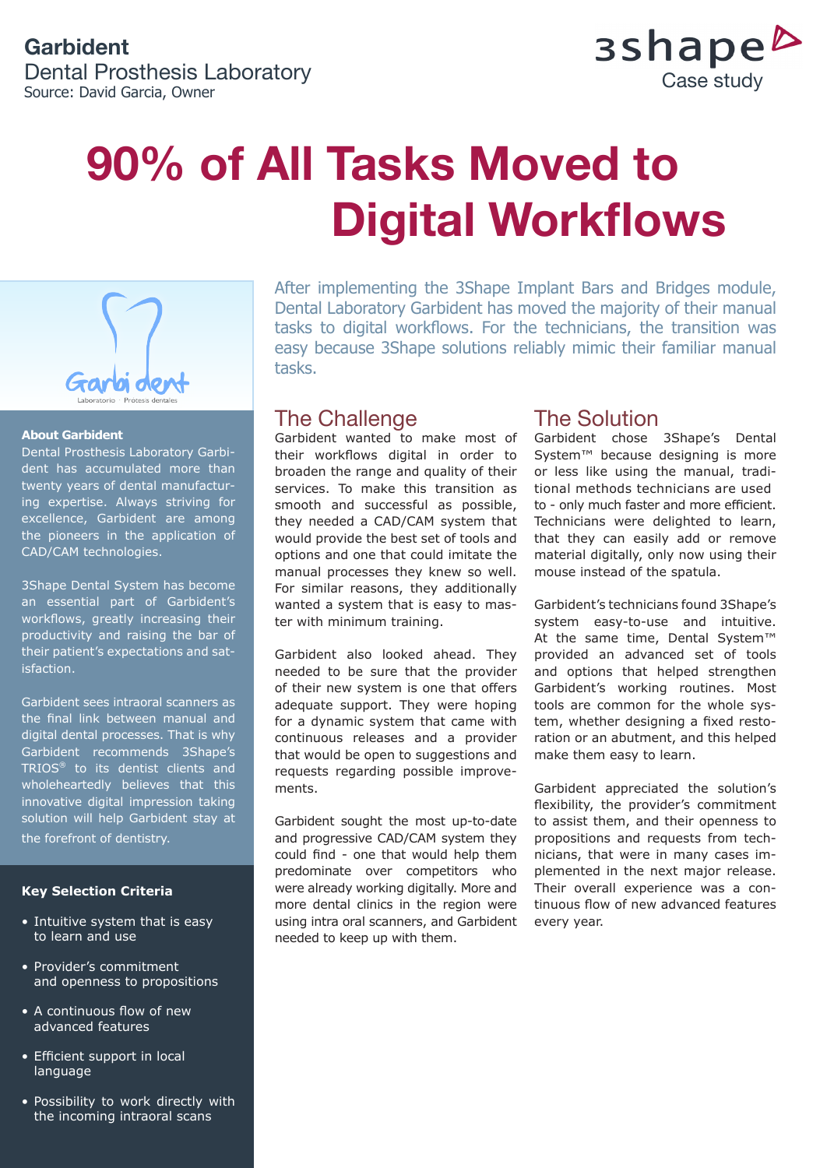# **Garbident**

Dental Prosthesis Laboratory Source: David Garcia, Owner



# **90% of All Tasks Moved to Digital Workflows**



#### **About Garbident**

Dental Prosthesis Laboratory Garbident has accumulated more than twenty years of dental manufacturing expertise. Always striving for excellence, Garbident are among the pioneers in the application of CAD/CAM technologies.

3Shape Dental System has become an essential part of Garbident's workflows, greatly increasing their productivity and raising the bar of their patient's expectations and satisfaction.

Garbident sees intraoral scanners as the final link between manual and digital dental processes. That is why Garbident recommends 3Shape's TRIOS® to its dentist clients and wholeheartedly believes that this innovative digital impression taking solution will help Garbident stay at the forefront of dentistry.

#### **Key Selection Criteria**

- Intuitive system that is easy to learn and use
- Provider's commitment and openness to propositions
- A continuous flow of new advanced features
- Efficient support in local language
- Possibility to work directly with the incoming intraoral scans

After implementing the 3Shape Implant Bars and Bridges module, Dental Laboratory Garbident has moved the majority of their manual tasks to digital workflows. For the technicians, the transition was easy because 3Shape solutions reliably mimic their familiar manual tasks.

#### The Challenge

Garbident wanted to make most of their workflows digital in order to broaden the range and quality of their services. To make this transition as smooth and successful as possible, they needed a CAD/CAM system that would provide the best set of tools and options and one that could imitate the manual processes they knew so well. For similar reasons, they additionally wanted a system that is easy to master with minimum training.

Garbident also looked ahead. They needed to be sure that the provider of their new system is one that offers adequate support. They were hoping for a dynamic system that came with continuous releases and a provider that would be open to suggestions and requests regarding possible improvements.

Garbident sought the most up-to-date and progressive CAD/CAM system they could find - one that would help them predominate over competitors who were already working digitally. More and more dental clinics in the region were using intra oral scanners, and Garbident needed to keep up with them.

### The Solution

Garbident chose 3Shape's Dental System<sup>™</sup> because designing is more or less like using the manual, traditional methods technicians are used to - only much faster and more efficient. Technicians were delighted to learn, that they can easily add or remove material digitally, only now using their mouse instead of the spatula.

Garbident's technicians found 3Shape's system easy-to-use and intuitive. At the same time, Dental System™ provided an advanced set of tools and options that helped strengthen Garbident's working routines. Most tools are common for the whole system, whether designing a fixed restoration or an abutment, and this helped make them easy to learn.

Garbident appreciated the solution's flexibility, the provider's commitment to assist them, and their openness to propositions and requests from technicians, that were in many cases implemented in the next major release. Their overall experience was a continuous flow of new advanced features every year.